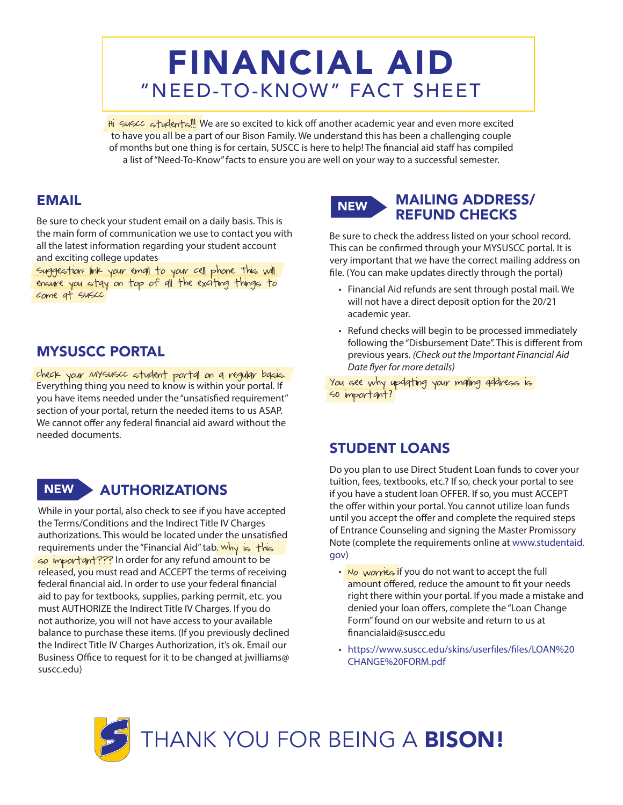# FINANCIAL AID "NEED-TO-KNOW" FACT SHEET

Hi Suscc students!! We are so excited to kick off another academic year and even more excited to have you all be a part of our Bison Family. We understand this has been a challenging couple of months but one thing is for certain, SUSCC is here to help! The financial aid staff has compiled a list of "Need-To-Know" facts to ensure you are well on your way to a successful semester.

## EMAIL

Be sure to check your student email on a daily basis. This is the main form of communication we use to contact you with all the latest information regarding your student account and exciting college updates

Suggestion: link your email to your cell phone. This will ensure you stay on top of all the exciting things to come at SUSCC

# MYSUSCC PORTAL

Check your MYSUSCC student portal on a regular basis. Everything thing you need to know is within your portal. If you have items needed under the "unsatisfied requirement" section of your portal, return the needed items to us ASAP. We cannot offer any federal financial aid award without the needed documents.

# NEW AUTHORIZATIONS

While in your portal, also check to see if you have accepted the Terms/Conditions and the Indirect Title IV Charges authorizations. This would be located under the unsatisfied requirements under the "Financial Aid" tab. Why is this so important??? In order for any refund amount to be released, you must read and ACCEPT the terms of receiving federal financial aid. In order to use your federal financial aid to pay for textbooks, supplies, parking permit, etc. you must AUTHORIZE the Indirect Title IV Charges. If you do not authorize, you will not have access to your available balance to purchase these items. (If you previously declined the Indirect Title IV Charges Authorization, it's ok. Email our Business Office to request for it to be changed at jwilliams@ suscc.edu)



#### MAILING ADDRESS/ REFUND CHECKS

Be sure to check the address listed on your school record. This can be confirmed through your MYSUSCC portal. It is very important that we have the correct mailing address on file. (You can make updates directly through the portal)

- Financial Aid refunds are sent through postal mail. We will not have a direct deposit option for the 20/21 academic year.
- Refund checks will begin to be processed immediately following the "Disbursement Date". This is different from previous years. *(Check out the Important Financial Aid Date flyer for more details)*

You see why updating your mailing address is SO important?

#### STUDENT LOANS

Do you plan to use Direct Student Loan funds to cover your tuition, fees, textbooks, etc.? If so, check your portal to see if you have a student loan OFFER. If so, you must ACCEPT the offer within your portal. You cannot utilize loan funds until you accept the offer and complete the required steps of Entrance Counseling and signing the Master Promissory Note (complete the requirements online at www.studentaid. gov)

- No worries if you do not want to accept the full amount offered, reduce the amount to fit your needs right there within your portal. If you made a mistake and denied your loan offers, complete the "Loan Change Form" found on our website and return to us at financialaid@suscc.edu
- https://www.suscc.edu/skins/userfiles/files/LOAN%20 CHANGE%20FORM.pdf

THANK YOU FOR BEING A BISON!